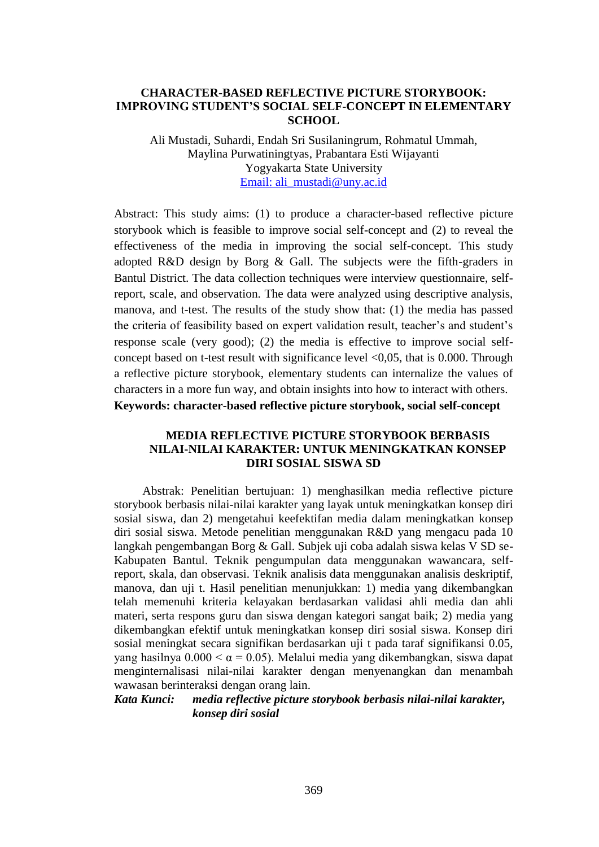### **CHARACTER-BASED REFLECTIVE PICTURE STORYBOOK: IMPROVING STUDENT'S SOCIAL SELF-CONCEPT IN ELEMENTARY SCHOOL**

Ali Mustadi, Suhardi, Endah Sri Susilaningrum, Rohmatul Ummah, Maylina Purwatiningtyas, Prabantara Esti Wijayanti Yogyakarta State University [Email: ali\\_mustadi@uny.ac.id](mailto:Email:%20ali_mustadi@uny.ac.id)

Abstract: This study aims: (1) to produce a character-based reflective picture storybook which is feasible to improve social self-concept and (2) to reveal the effectiveness of the media in improving the social self-concept. This study adopted R&D design by Borg & Gall. The subjects were the fifth-graders in Bantul District. The data collection techniques were interview questionnaire, selfreport, scale, and observation. The data were analyzed using descriptive analysis, manova, and t-test. The results of the study show that: (1) the media has passed the criteria of feasibility based on expert validation result, teacher's and student's response scale (very good); (2) the media is effective to improve social selfconcept based on t-test result with significance level <0,05, that is 0.000. Through a reflective picture storybook, elementary students can internalize the values of characters in a more fun way, and obtain insights into how to interact with others. **Keywords: character-based reflective picture storybook, social self-concept**

## **MEDIA REFLECTIVE PICTURE STORYBOOK BERBASIS NILAI-NILAI KARAKTER: UNTUK MENINGKATKAN KONSEP DIRI SOSIAL SISWA SD**

Abstrak: Penelitian bertujuan: 1) menghasilkan media reflective picture storybook berbasis nilai-nilai karakter yang layak untuk meningkatkan konsep diri sosial siswa, dan 2) mengetahui keefektifan media dalam meningkatkan konsep diri sosial siswa. Metode penelitian menggunakan R&D yang mengacu pada 10 langkah pengembangan Borg & Gall. Subjek uji coba adalah siswa kelas V SD se-Kabupaten Bantul. Teknik pengumpulan data menggunakan wawancara, selfreport, skala, dan observasi. Teknik analisis data menggunakan analisis deskriptif, manova, dan uji t. Hasil penelitian menunjukkan: 1) media yang dikembangkan telah memenuhi kriteria kelayakan berdasarkan validasi ahli media dan ahli materi, serta respons guru dan siswa dengan kategori sangat baik; 2) media yang dikembangkan efektif untuk meningkatkan konsep diri sosial siswa. Konsep diri sosial meningkat secara signifikan berdasarkan uji t pada taraf signifikansi 0.05, yang hasilnya 0.000 < α = 0.05). Melalui media yang dikembangkan, siswa dapat menginternalisasi nilai-nilai karakter dengan menyenangkan dan menambah wawasan berinteraksi dengan orang lain.

# *Kata Kunci: media reflective picture storybook berbasis nilai-nilai karakter, konsep diri sosial*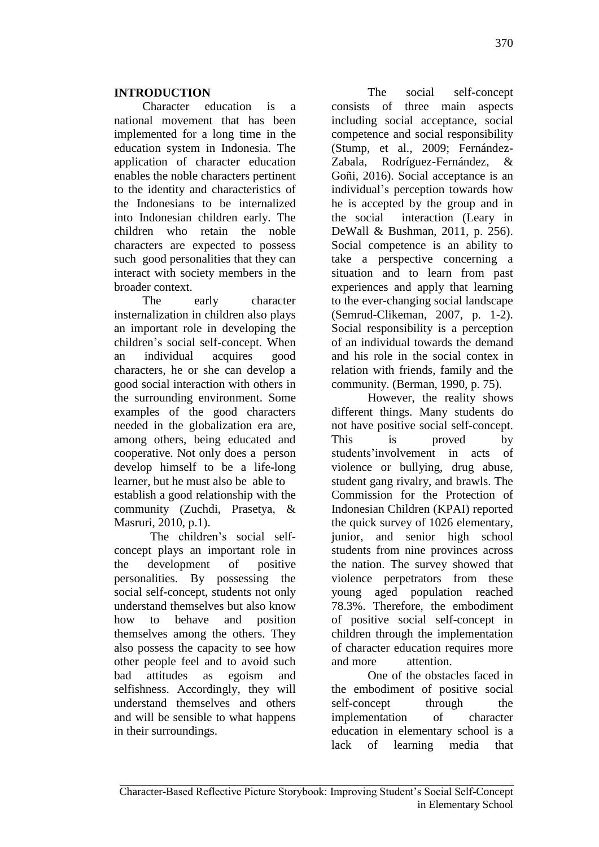Character education is a national movement that has been implemented for a long time in the education system in Indonesia. The application of character education enables the noble characters pertinent to the identity and characteristics of the Indonesians to be internalized into Indonesian children early. The children who retain the noble characters are expected to possess such good personalities that they can interact with society members in the broader context.

The early character insternalization in children also plays an important role in developing the children's social self-concept. When an individual acquires good characters, he or she can develop a good social interaction with others in the surrounding environment. Some examples of the good characters needed in the globalization era are, among others, being educated and cooperative. Not only does a person develop himself to be a life-long learner, but he must also be able to establish a good relationship with the community (Zuchdi, Prasetya, & Masruri, 2010, p.1).

The children's social selfconcept plays an important role in the development of positive personalities. By possessing the social self-concept, students not only understand themselves but also know how to behave and position themselves among the others. They also possess the capacity to see how other people feel and to avoid such bad attitudes as egoism and selfishness. Accordingly, they will understand themselves and others and will be sensible to what happens in their surroundings.

The social self-concept consists of three main aspects including social acceptance, social competence and social responsibility (Stump, et al., 2009; Fernández-Zabala, Rodríguez-Fernández, & Goñi, 2016). Social acceptance is an individual's perception towards how he is accepted by the group and in the social interaction (Leary in DeWall & Bushman, 2011, p. 256). Social competence is an ability to take a perspective concerning a situation and to learn from past experiences and apply that learning to the ever-changing social landscape (Semrud-Clikeman, 2007, p. 1-2). Social responsibility is a perception of an individual towards the demand and his role in the social contex in relation with friends, family and the community. (Berman, 1990, p. 75).

However, the reality shows different things. Many students do not have positive social self-concept. This is proved by students'involvement in acts of violence or bullying, drug abuse, student gang rivalry, and brawls. The Commission for the Protection of Indonesian Children (KPAI) reported the quick survey of 1026 elementary, junior, and senior high school students from nine provinces across the nation. The survey showed that violence perpetrators from these young aged population reached 78.3%. Therefore, the embodiment of positive social self-concept in children through the implementation of character education requires more and more attention.

One of the obstacles faced in the embodiment of positive social self-concept through the implementation of character education in elementary school is a lack of learning media that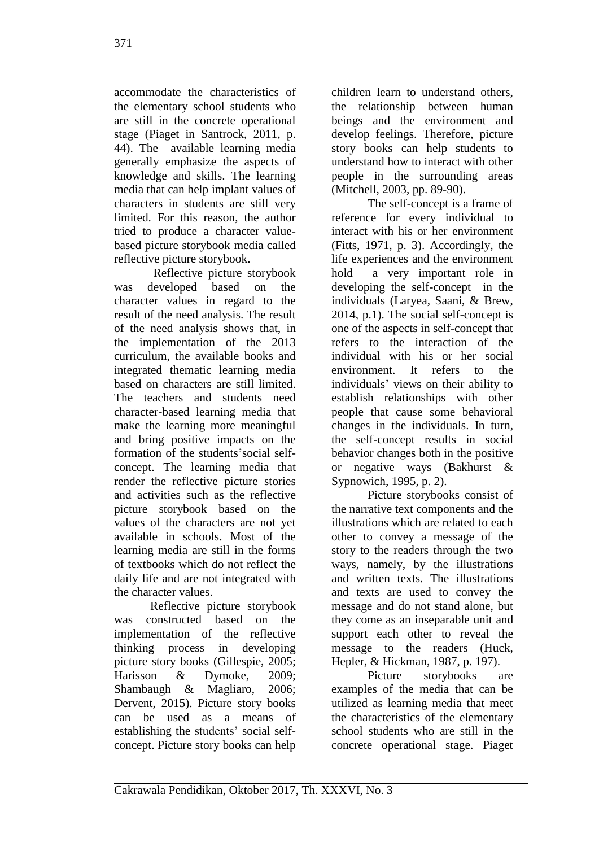accommodate the characteristics of the elementary school students who are still in the concrete operational stage (Piaget in Santrock, 2011, p. 44). The available learning media generally emphasize the aspects of knowledge and skills. The learning media that can help implant values of characters in students are still very limited. For this reason, the author tried to produce a character valuebased picture storybook media called reflective picture storybook.

Reflective picture storybook was developed based on the character values in regard to the result of the need analysis. The result of the need analysis shows that, in the implementation of the 2013 curriculum, the available books and integrated thematic learning media based on characters are still limited. The teachers and students need character-based learning media that make the learning more meaningful and bring positive impacts on the formation of the students'social selfconcept. The learning media that render the reflective picture stories and activities such as the reflective picture storybook based on the values of the characters are not yet available in schools. Most of the learning media are still in the forms of textbooks which do not reflect the daily life and are not integrated with the character values.

Reflective picture storybook was constructed based on the implementation of the reflective thinking process in developing picture story books (Gillespie, 2005; Harisson & Dymoke, 2009; Shambaugh & Magliaro, 2006; Dervent, 2015). Picture story books can be used as a means of establishing the students' social selfconcept. Picture story books can help children learn to understand others, the relationship between human beings and the environment and develop feelings. Therefore, picture story books can help students to understand how to interact with other people in the surrounding areas (Mitchell, 2003, pp. 89-90).

The self-concept is a frame of reference for every individual to interact with his or her environment (Fitts, 1971, p. 3). Accordingly, the life experiences and the environment hold a very important role in developing the self-concept in the individuals (Laryea, Saani, & Brew, 2014, p.1). The social self-concept is one of the aspects in self-concept that refers to the interaction of the individual with his or her social environment. It refers to the individuals' views on their ability to establish relationships with other people that cause some behavioral changes in the individuals. In turn, the self-concept results in social behavior changes both in the positive or negative ways (Bakhurst & Sypnowich, 1995, p. 2).

Picture storybooks consist of the narrative text components and the illustrations which are related to each other to convey a message of the story to the readers through the two ways, namely, by the illustrations and written texts. The illustrations and texts are used to convey the message and do not stand alone, but they come as an inseparable unit and support each other to reveal the message to the readers (Huck, Hepler, & Hickman, 1987, p. 197).

Picture storybooks are examples of the media that can be utilized as learning media that meet the characteristics of the elementary school students who are still in the concrete operational stage. Piaget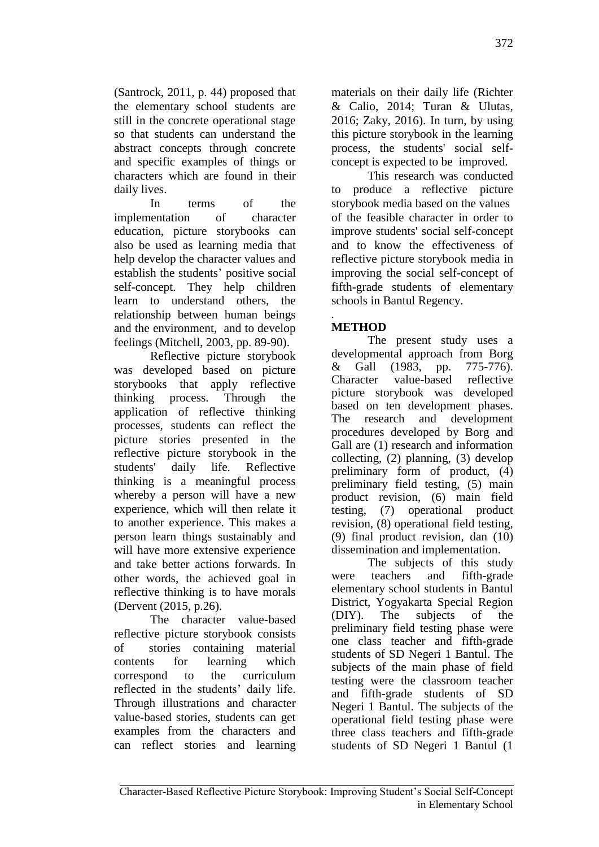(Santrock, 2011, p. 44) proposed that the elementary school students are still in the concrete operational stage so that students can understand the abstract concepts through concrete and specific examples of things or characters which are found in their daily lives.

In terms of the implementation of character education, picture storybooks can also be used as learning media that help develop the character values and establish the students' positive social self-concept. They help children learn to understand others, the relationship between human beings and the environment, and to develop feelings (Mitchell, 2003, pp. 89-90).

Reflective picture storybook was developed based on picture storybooks that apply reflective thinking process. Through the application of reflective thinking processes, students can reflect the picture stories presented in the reflective picture storybook in the students' daily life. Reflective thinking is a meaningful process whereby a person will have a new experience, which will then relate it to another experience. This makes a person learn things sustainably and will have more extensive experience and take better actions forwards. In other words, the achieved goal in reflective thinking is to have morals (Dervent (2015, p.26).

The character value-based reflective picture storybook consists of stories containing material contents for learning which correspond to the curriculum reflected in the students' daily life. Through illustrations and character value-based stories, students can get examples from the characters and can reflect stories and learning materials on their daily life (Richter & Calio, 2014; Turan & Ulutas, 2016; Zaky, 2016). In turn, by using this picture storybook in the learning process, the students' social selfconcept is expected to be improved.

This research was conducted to produce a reflective picture storybook media based on the values of the feasible character in order to improve students' social self-concept and to know the effectiveness of reflective picture storybook media in improving the social self-concept of fifth-grade students of elementary schools in Bantul Regency.

#### *.* **METHOD**

The present study uses a developmental approach from Borg & Gall (1983, pp. 775-776). Character value-based reflective picture storybook was developed based on ten development phases. The research and development procedures developed by Borg and Gall are (1) research and information collecting, (2) planning, (3) develop preliminary form of product, (4) preliminary field testing, (5) main product revision, (6) main field testing, (7) operational product revision, (8) operational field testing, (9) final product revision, dan (10) dissemination and implementation.

The subjects of this study were teachers and fifth-grade elementary school students in Bantul District, Yogyakarta Special Region (DIY). The subjects of the preliminary field testing phase were one class teacher and fifth-grade students of SD Negeri 1 Bantul. The subjects of the main phase of field testing were the classroom teacher and fifth-grade students of SD Negeri 1 Bantul. The subjects of the operational field testing phase were three class teachers and fifth-grade students of SD Negeri 1 Bantul (1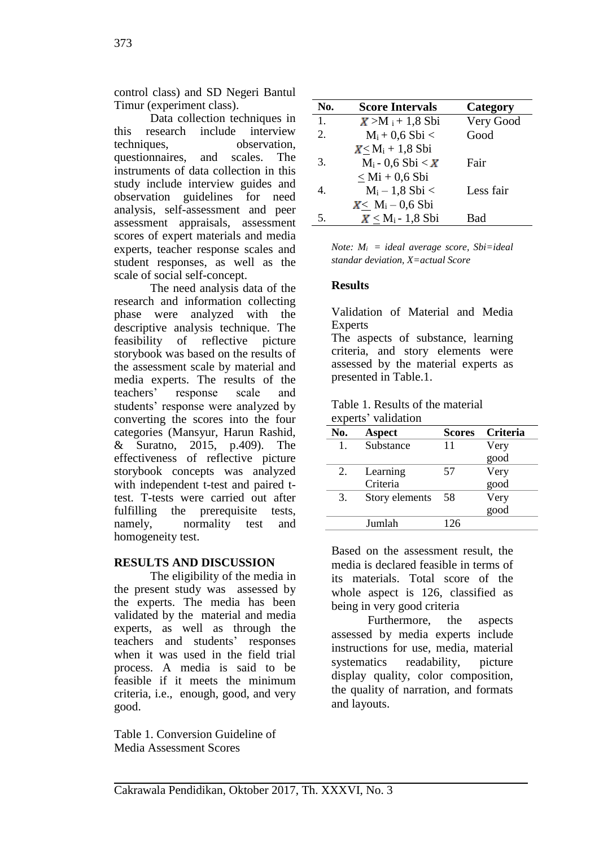control class) and SD Negeri Bantul Timur (experiment class).

Data collection techniques in this research include interview techniques, observation, questionnaires, and scales. The instruments of data collection in this study include interview guides and observation guidelines for need analysis, self-assessment and peer assessment appraisals, assessment scores of expert materials and media experts, teacher response scales and student responses, as well as the scale of social self-concept.

The need analysis data of the research and information collecting phase were analyzed with the descriptive analysis technique. The feasibility of reflective picture storybook was based on the results of the assessment scale by material and media experts. The results of the teachers' response scale and students' response were analyzed by converting the scores into the four categories (Mansyur, Harun Rashid, & Suratno, 2015, p.409). The effectiveness of reflective picture storybook concepts was analyzed with independent t-test and paired ttest. T-tests were carried out after fulfilling the prerequisite tests, namely, normality test and homogeneity test.

# **RESULTS AND DISCUSSION**

The eligibility of the media in the present study was assessed by the experts. The media has been validated by the material and media experts, as well as through the teachers and students' responses when it was used in the field trial process. A media is said to be feasible if it meets the minimum criteria, i.e., enough, good, and very good.

Table 1. Conversion Guideline of Media Assessment Scores

| No. | <b>Score Intervals</b> | Category  |
|-----|------------------------|-----------|
| 1.  | $X > M_1 + 1,8$ Sbi    | Very Good |
| 2.  | $M_i + 0.6 Sbi <$      | Good      |
|     | $X < M_i + 1,8$ Sbi    |           |
| 3.  | $M_i - 0.6 Sbi < X$    | Fair      |
|     | $<$ Mi + 0,6 Sbi       |           |
| 4.  | $M_i - 1,8 Sbi <$      | Less fair |
|     | $X < M_i - 0, 6 Sbi$   |           |
| 5.  | $X < M_i - 1,8$ Sbi    | Bad       |

*Note: Mi = ideal average score, Sbi=ideal standar deviation, X=actual Score*

### **Results**

Validation of Material and Media Experts

The aspects of substance, learning criteria, and story elements were assessed by the material experts as presented in Table.1.

| Table 1. Results of the material |  |
|----------------------------------|--|
| experts' validation              |  |

| <u>vispolitu</u> | , an an c      |               |          |
|------------------|----------------|---------------|----------|
| No.              | <b>Aspect</b>  | <b>Scores</b> | Criteria |
| $\mathbf{1}$ .   | Substance      | 11            | Very     |
|                  |                |               | good     |
| 2.               | Learning       | 57            | Very     |
|                  | Criteria       |               | good     |
| 3.               | Story elements | 58            | Very     |
|                  |                |               | good     |
|                  | Jumlah         | 126           |          |
|                  |                |               |          |

Based on the assessment result, the media is declared feasible in terms of its materials. Total score of the whole aspect is 126, classified as being in very good criteria

Furthermore, the aspects assessed by media experts include instructions for use, media, material systematics readability, picture display quality, color composition, the quality of narration, and formats and layouts.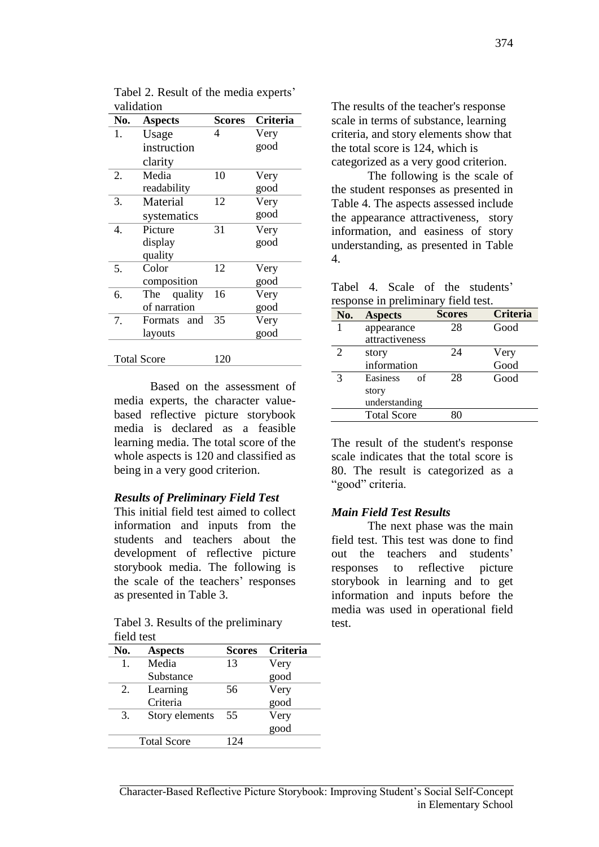| No. | <b>Aspects</b>     | <b>Scores</b> | Criteria |
|-----|--------------------|---------------|----------|
| 1.  | Usage              | 4             | Very     |
|     | instruction        |               | good     |
|     | clarity            |               |          |
| 2.  | Media              | 10            | Very     |
|     | readability        |               | good     |
| 3.  | Material           | 12            | Very     |
|     | systematics        |               | good     |
| 4.  | Picture            | 31            | Very     |
|     | display            |               | good     |
|     | quality            |               |          |
| 5.  | Color              | 12            | Very     |
|     | composition        |               | good     |
| 6.  | quality<br>The     | 16            | Very     |
|     | of narration       |               | good     |
| 7.  | Formats<br>and     | 35            | Very     |
|     | layouts            |               | good     |
|     |                    |               |          |
|     | <b>Total Score</b> | 120           |          |

Tabel 2. Result of the media experts' validation

Based on the assessment of media experts, the character valuebased reflective picture storybook media is declared as a feasible learning media. The total score of the whole aspects is 120 and classified as being in a very good criterion.

#### *Results of Preliminary Field Test*

This initial field test aimed to collect information and inputs from the students and teachers about the development of reflective picture storybook media. The following is the scale of the teachers' responses as presented in Table 3.

Tabel 3. Results of the preliminary field test

| No. | <b>Aspects</b>     | <b>Scores</b> | Criteria |
|-----|--------------------|---------------|----------|
| 1.  | Media              | 13            | Very     |
|     | Substance          |               | good     |
| 2.  | Learning           | 56            | Very     |
|     | Criteria           |               | good     |
| 3.  | Story elements     | 55            | Very     |
|     |                    |               | good     |
|     | <b>Total Score</b> | 124           |          |

The results of the teacher's response scale in terms of substance, learning criteria, and story elements show that the total score is 124, which is categorized as a very good criterion.

The following is the scale of the student responses as presented in Table 4. The aspects assessed include the appearance attractiveness, story information, and easiness of story understanding, as presented in Table 4.

|  |                                     |  | Tabel 4. Scale of the students' |
|--|-------------------------------------|--|---------------------------------|
|  | response in preliminary field test. |  |                                 |

| No. | <b>Aspects</b>     | <b>Scores</b> | <b>Criteria</b> |
|-----|--------------------|---------------|-----------------|
|     | appearance         | 28            | Good            |
|     | attractiveness     |               |                 |
| 2   | story              | 24            | Very            |
|     | information        |               | Good            |
|     | Easiness<br>οf     | 28            | Good            |
|     | story              |               |                 |
|     | understanding      |               |                 |
|     | <b>Total Score</b> | 80            |                 |

The result of the student's response scale indicates that the total score is 80. The result is categorized as a "good" criteria.

# *Main Field Test Results*

The next phase was the main field test. This test was done to find out the teachers and students' responses to reflective picture storybook in learning and to get information and inputs before the media was used in operational field test.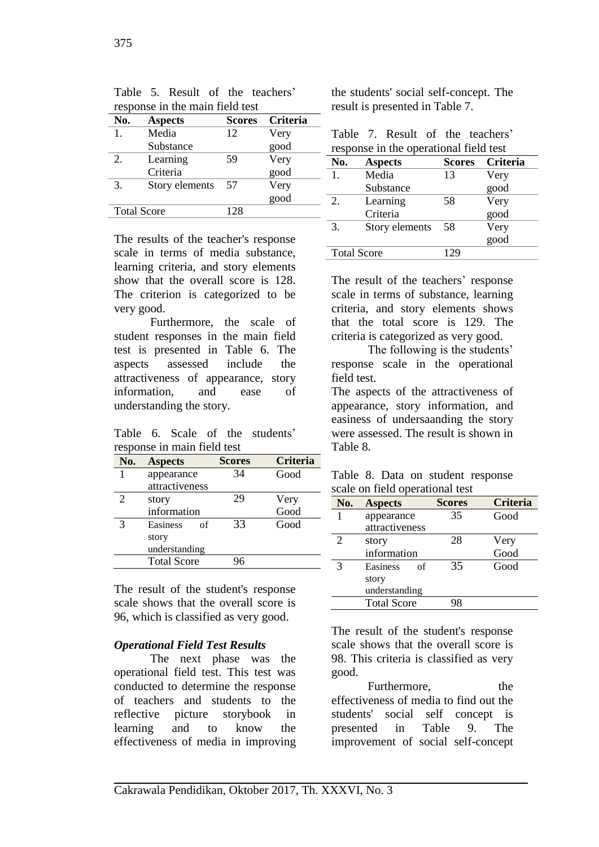| response in the main field test |                    |               |                 |  |  |
|---------------------------------|--------------------|---------------|-----------------|--|--|
| No.                             | <b>Aspects</b>     | <b>Scores</b> | <b>Criteria</b> |  |  |
| 1.                              | Media              | 12            | Very            |  |  |
|                                 | Substance          |               | good            |  |  |
| 2.                              | Learning           | 59            | Very            |  |  |
|                                 | Criteria           |               | good            |  |  |
| 3.                              | Story elements     | 57            | Very            |  |  |
|                                 |                    |               | good            |  |  |
|                                 | <b>Total Score</b> | 128           |                 |  |  |

Table 5. Result of the teachers'

The results of the teacher's response scale in terms of media substance, learning criteria, and story elements show that the overall score is 128. The criterion is categorized to be very good.

Furthermore, the scale of student responses in the main field test is presented in Table 6. The aspects assessed include the attractiveness of appearance, story information, and ease of understanding the story.

Table 6. Scale of the students' response in main field test

| No. | <b>Aspects</b>     | <b>Scores</b> | <b>Criteria</b> |
|-----|--------------------|---------------|-----------------|
|     | appearance         | 34            | Good            |
|     | attractiveness     |               |                 |
| 2   | story              | 29            | Very            |
|     | information        |               | Good            |
|     | Easiness<br>οf     | 33            | Good            |
|     | story              |               |                 |
|     | understanding      |               |                 |
|     | <b>Total Score</b> | 96            |                 |

The result of the student's response scale shows that the overall score is 96, which is classified as very good.

### *Operational Field Test Results*

The next phase was the operational field test. This test was conducted to determine the response of teachers and students to the reflective picture storybook in learning and to know the effectiveness of media in improving the students' social self-concept. The result is presented in Table 7.

|  |  | Table 7. Result of the teachers'       |
|--|--|----------------------------------------|
|  |  | response in the operational field test |

| No. | <b>Aspects</b>     | <b>Scores</b> | <b>Criteria</b> |
|-----|--------------------|---------------|-----------------|
| 1.  | Media              | 13            | Very            |
|     | Substance          |               | good            |
| 2.  | Learning           | 58            | Very            |
|     | Criteria           |               | good            |
| 3.  | Story elements     | 58            | Very            |
|     |                    |               | good            |
|     | <b>Total Score</b> | 129           |                 |

The result of the teachers' response scale in terms of substance, learning criteria, and story elements shows that the total score is 129. The criteria is categorized as very good.

The following is the students' response scale in the operational field test.

The aspects of the attractiveness of appearance, story information, and easiness of undersaanding the story were assessed. The result is shown in Table 8.

|  |  |                                 | Table 8. Data on student response |
|--|--|---------------------------------|-----------------------------------|
|  |  | scale on field operational test |                                   |

| No. | <b>Aspects</b>     | <b>Scores</b> | <b>Criteria</b> |
|-----|--------------------|---------------|-----------------|
|     | appearance         | 35            | Good            |
|     | attractiveness     |               |                 |
| 2   | story              | 28            | Very            |
|     | information        |               | Good            |
| 3   | Easiness<br>οf     | 35            | Good            |
|     | story              |               |                 |
|     | understanding      |               |                 |
|     | <b>Total Score</b> | 98            |                 |

The result of the student's response scale shows that the overall score is 98. This criteria is classified as very good.

Furthermore. the effectiveness of media to find out the students' social self concept is presented in Table 9. The improvement of social self-concept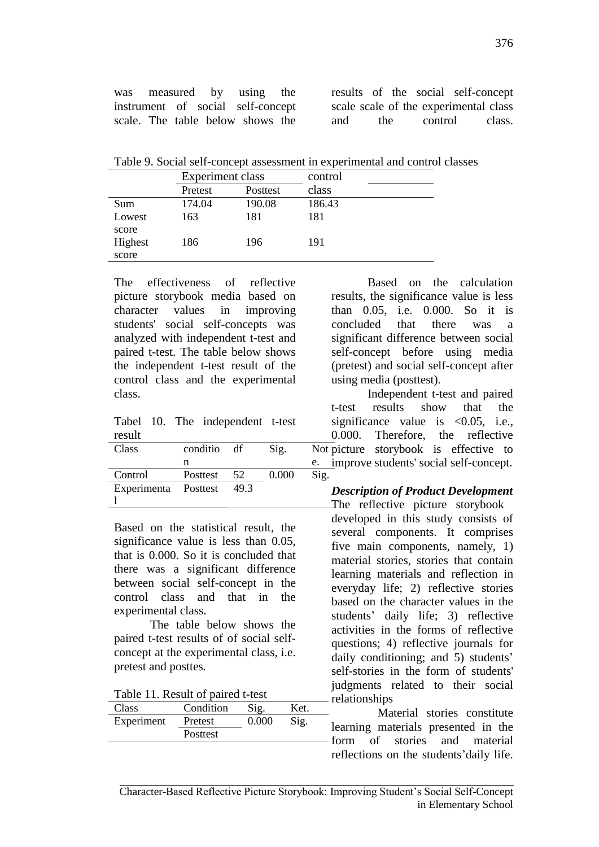was measured by using the instrument of social self-concept scale. The table below shows the

results of the social self-concept scale scale of the experimental class and the control class.

Table 9. Social self-concept assessment in experimental and control classes

|         | Experiment class |          | control |
|---------|------------------|----------|---------|
|         | Pretest          | Posttest | class   |
| Sum     | 174.04           | 190.08   | 186.43  |
| Lowest  | 163              | 181      | 181     |
| score   |                  |          |         |
| Highest | 186              | 196      | 191     |
| score   |                  |          |         |

The effectiveness of reflective picture storybook media based on character values in improving students' social self-concepts was analyzed with independent t-test and paired t-test. The table below shows the independent t-test result of the control class and the experimental class.

|        |  | Tabel 10. The independent t-test |  |
|--------|--|----------------------------------|--|
| result |  |                                  |  |

| Class                     | conditio df | Sig.  | Not  |
|---------------------------|-------------|-------|------|
|                           | n           |       | e.   |
| Control                   | Posttest 52 | 0.000 | Sig. |
| Experimenta Posttest 49.3 |             |       |      |
|                           |             |       |      |

Based on the statistical result, the significance value is less than 0.05, that is 0.000. So it is concluded that there was a significant difference between social self-concept in the control class and that in the experimental class.

The table below shows the paired t-test results of of social selfconcept at the experimental class, i.e. pretest and posttes*.*

|  |  | Table 11. Result of paired t-test |
|--|--|-----------------------------------|
|--|--|-----------------------------------|

| Class      | Condition       | Sig.  | Ket. |
|------------|-----------------|-------|------|
| Experiment | Pretest         | 0.000 | Sig. |
|            | <b>Posttest</b> |       |      |
|            |                 |       |      |

Based on the calculation results, the significance value is less than 0.05, i.e. 0.000. So it is concluded that there was a significant difference between social self-concept before using media (pretest) and social self-concept after using media (posttest).

df Sig. Not picture storybook is effective to e. improve students' social self-concept. Independent t-test and paired t-test results show that the significance value is  $\langle 0.05, i.e.,$ 0.000. Therefore, the reflective

#### *Description of Product Development*  The reflective picture storybook

developed in this study consists of several components. It comprises five main components, namely, 1) material stories, stories that contain learning materials and reflection in everyday life; 2) reflective stories based on the character values in the students' daily life; 3) reflective activities in the forms of reflective questions; 4) reflective journals for daily conditioning; and 5) students' self-stories in the form of students' judgments related to their social relationships

Material stories constitute learning materials presented in the form of stories and material reflections on the students'daily life.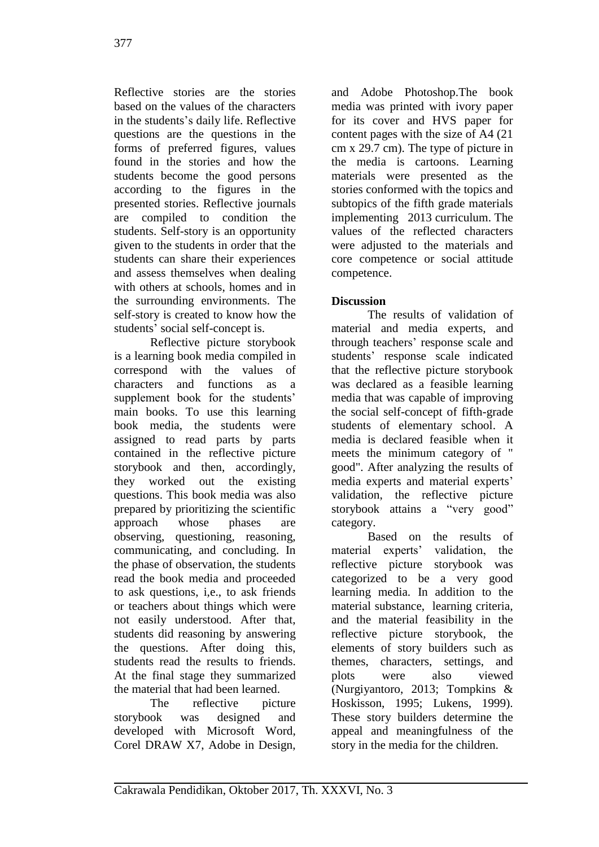Reflective stories are the stories based on the values of the characters in the students's daily life. Reflective questions are the questions in the forms of preferred figures, values found in the stories and how the students become the good persons according to the figures in the presented stories. Reflective journals are compiled to condition the students. Self-story is an opportunity given to the students in order that the students can share their experiences and assess themselves when dealing with others at schools, homes and in the surrounding environments. The self-story is created to know how the students' social self-concept is.

Reflective picture storybook is a learning book media compiled in correspond with the values of characters and functions as a supplement book for the students' main books. To use this learning book media, the students were assigned to read parts by parts contained in the reflective picture storybook and then, accordingly, they worked out the existing questions. This book media was also prepared by prioritizing the scientific approach whose phases are observing, questioning, reasoning, communicating, and concluding. In the phase of observation, the students read the book media and proceeded to ask questions, i,e., to ask friends or teachers about things which were not easily understood. After that, students did reasoning by answering the questions. After doing this, students read the results to friends. At the final stage they summarized the material that had been learned.

The reflective picture storybook was designed and developed with Microsoft Word, Corel DRAW X7, Adobe in Design,

and Adobe Photoshop.The book media was printed with ivory paper for its cover and HVS paper for content pages with the size of A4 (21 cm x 29.7 cm). The type of picture in the media is cartoons. Learning materials were presented as the stories conformed with the topics and subtopics of the fifth grade materials implementing 2013 curriculum. The values of the reflected characters were adjusted to the materials and core competence or social attitude competence.

# **Discussion**

The results of validation of material and media experts, and through teachers' response scale and students' response scale indicated that the reflective picture storybook was declared as a feasible learning media that was capable of improving the social self-concept of fifth-grade students of elementary school. A media is declared feasible when it meets the minimum category of " good". After analyzing the results of media experts and material experts' validation, the reflective picture storybook attains a "very good" category.

Based on the results of material experts' validation, the reflective picture storybook was categorized to be a very good learning media. In addition to the material substance, learning criteria, and the material feasibility in the reflective picture storybook, the elements of story builders such as themes, characters, settings, and plots were also viewed (Nurgiyantoro, 2013; Tompkins & Hoskisson, 1995; Lukens, 1999). These story builders determine the appeal and meaningfulness of the story in the media for the children.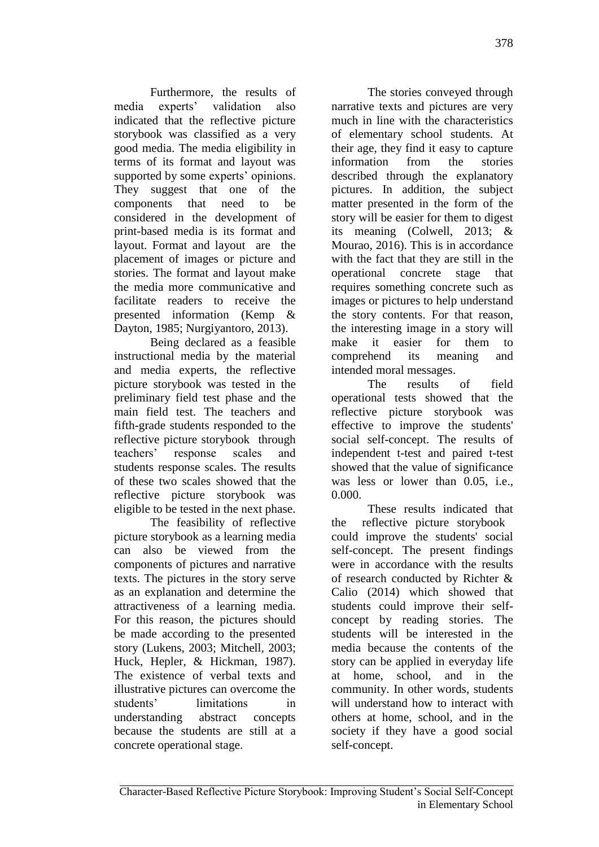Furthermore, the results of media experts' validation also indicated that the reflective picture storybook was classified as a very good media. The media eligibility in terms of its format and layout was supported by some experts' opinions. They suggest that one of the components that need to be considered in the development of print-based media is its format and layout. Format and layout are the placement of images or picture and stories. The format and layout make the media more communicative and facilitate readers to receive the presented information (Kemp & Dayton, 1985; Nurgiyantoro, 2013).

Being declared as a feasible instructional media by the material and media experts, the reflective picture storybook was tested in the preliminary field test phase and the main field test. The teachers and fifth-grade students responded to the reflective picture storybook through teachers' response scales and students response scales. The results of these two scales showed that the reflective picture storybook was eligible to be tested in the next phase.

The feasibility of reflective picture storybook as a learning media can also be viewed from the components of pictures and narrative texts. The pictures in the story serve as an explanation and determine the attractiveness of a learning media. For this reason, the pictures should be made according to the presented story (Lukens, 2003; Mitchell, 2003; Huck, Hepler, & Hickman, 1987). The existence of verbal texts and illustrative pictures can overcome the students' limitations in understanding abstract concepts because the students are still at a concrete operational stage.

The stories conveyed through narrative texts and pictures are very much in line with the characteristics of elementary school students. At their age, they find it easy to capture information from the stories described through the explanatory pictures. In addition, the subject matter presented in the form of the story will be easier for them to digest its meaning (Colwell, 2013; & Mourao, 2016). This is in accordance with the fact that they are still in the operational concrete stage that requires something concrete such as images or pictures to help understand the story contents. For that reason, the interesting image in a story will make it easier for them to comprehend its meaning and intended moral messages.

The results of field operational tests showed that the reflective picture storybook was effective to improve the students' social self-concept. The results of independent t-test and paired t-test showed that the value of significance was less or lower than 0.05, i.e., 0.000.

These results indicated that the reflective picture storybook could improve the students' social self-concept. The present findings were in accordance with the results of research conducted by Richter & Calio (2014) which showed that students could improve their selfconcept by reading stories. The students will be interested in the media because the contents of the story can be applied in everyday life at home, school, and in the community. In other words, students will understand how to interact with others at home, school, and in the society if they have a good social self-concept.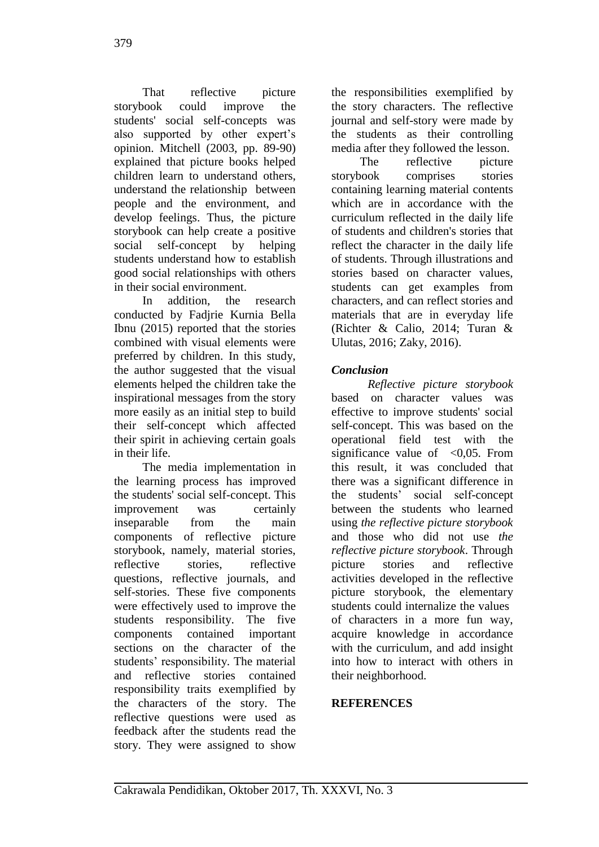That reflective picture storybook could improve the students' social self-concepts was also supported by other expert's opinion. Mitchell (2003, pp. 89-90) explained that picture books helped children learn to understand others, understand the relationship between people and the environment, and develop feelings. Thus, the picture storybook can help create a positive social self-concept by helping students understand how to establish good social relationships with others in their social environment.

In addition, the research conducted by Fadjrie Kurnia Bella Ibnu (2015) reported that the stories combined with visual elements were preferred by children. In this study, the author suggested that the visual elements helped the children take the inspirational messages from the story more easily as an initial step to build their self-concept which affected their spirit in achieving certain goals in their life.

The media implementation in the learning process has improved the students' social self-concept. This improvement was certainly inseparable from the main components of reflective picture storybook, namely, material stories, reflective stories, reflective questions, reflective journals, and self-stories. These five components were effectively used to improve the students responsibility. The five components contained important sections on the character of the students' responsibility. The material and reflective stories contained responsibility traits exemplified by the characters of the story. The reflective questions were used as feedback after the students read the story. They were assigned to show

the responsibilities exemplified by the story characters. The reflective journal and self-story were made by the students as their controlling media after they followed the lesson.

The reflective picture storybook comprises stories containing learning material contents which are in accordance with the curriculum reflected in the daily life of students and children's stories that reflect the character in the daily life of students. Through illustrations and stories based on character values, students can get examples from characters, and can reflect stories and materials that are in everyday life (Richter & Calio, 2014; Turan & Ulutas, 2016; Zaky, 2016).

# *Conclusion*

*Reflective picture storybook* based on character values was effective to improve students' social self-concept. This was based on the operational field test with the significance value of  $\leq 0.05$ . From this result, it was concluded that there was a significant difference in the students' social self-concept between the students who learned using *the reflective picture storybook* and those who did not use *the reflective picture storybook*. Through picture stories and reflective activities developed in the reflective picture storybook, the elementary students could internalize the values of characters in a more fun way, acquire knowledge in accordance with the curriculum, and add insight into how to interact with others in their neighborhood.

### **REFERENCES**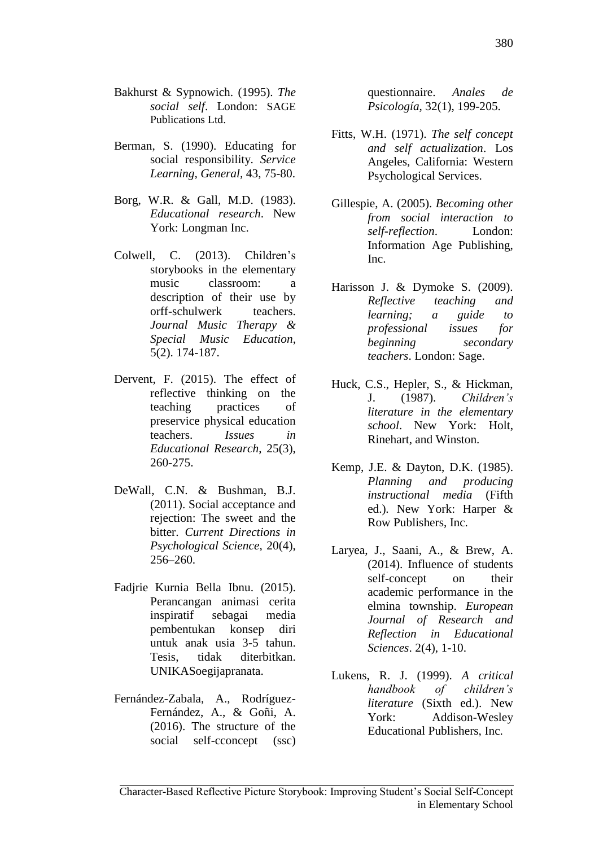- Bakhurst & Sypnowich. (1995). *The social self*. London: SAGE Publications Ltd.
- Berman, S. (1990). Educating for social responsibility. *Service Learning, General,* 43, 75-80.
- Borg, W.R. & Gall, M.D. (1983). *Educational research*. New York: Longman Inc.
- Colwell, C. (2013). Children's storybooks in the elementary music classroom: a description of their use by orff-schulwerk teachers. *Journal Music Therapy & Special Music Education*, 5(2). 174-187.
- Dervent, F. (2015). The effect of reflective thinking on the teaching practices of preservice physical education teachers. *Issues in Educational Research*, 25(3), 260-275.
- DeWall, C.N. & Bushman, B.J. (2011). Social acceptance and rejection: The sweet and the bitter. *Current Directions in Psychological Science*, 20(4), 256–260.
- Fadjrie Kurnia Bella Ibnu. (2015). Perancangan animasi cerita inspiratif sebagai media pembentukan konsep diri untuk anak usia 3-5 tahun. Tesis, tidak diterbitkan. UNIKASoegijapranata.
- Fernández-Zabala, A., Rodríguez-Fernández, A., & Goñi, A. (2016). The structure of the social self-cconcept (ssc)

questionnaire. *Anales de Psicología*, 32(1), 199-205.

- Fitts, W.H. (1971). *The self concept and self actualization*. Los Angeles, California: Western Psychological Services.
- Gillespie, A. (2005). *Becoming other from social interaction to self-reflection*. London: Information Age Publishing, Inc.
- Harisson J. & Dymoke S. (2009). *Reflective teaching and learning; a guide to professional issues for beginning secondary teachers*. London: Sage.
- Huck, C.S., Hepler, S., & Hickman, J. (1987). *Children's literature in the elementary school*. New York: Holt, Rinehart, and Winston.
- Kemp, J.E. & Dayton, D.K. (1985). *Planning and producing instructional media* (Fifth ed.)*.* New York: Harper & Row Publishers, Inc.
- Laryea, J., Saani, A., & Brew, A. (2014). Influence of students self-concept on their academic performance in the elmina township. *European Journal of Research and Reflection in Educational Sciences*. 2(4), 1-10.
- Lukens, R. J. (1999). *A critical handbook of children's literature* (Sixth ed.). New York: Addison-Wesley Educational Publishers, Inc.